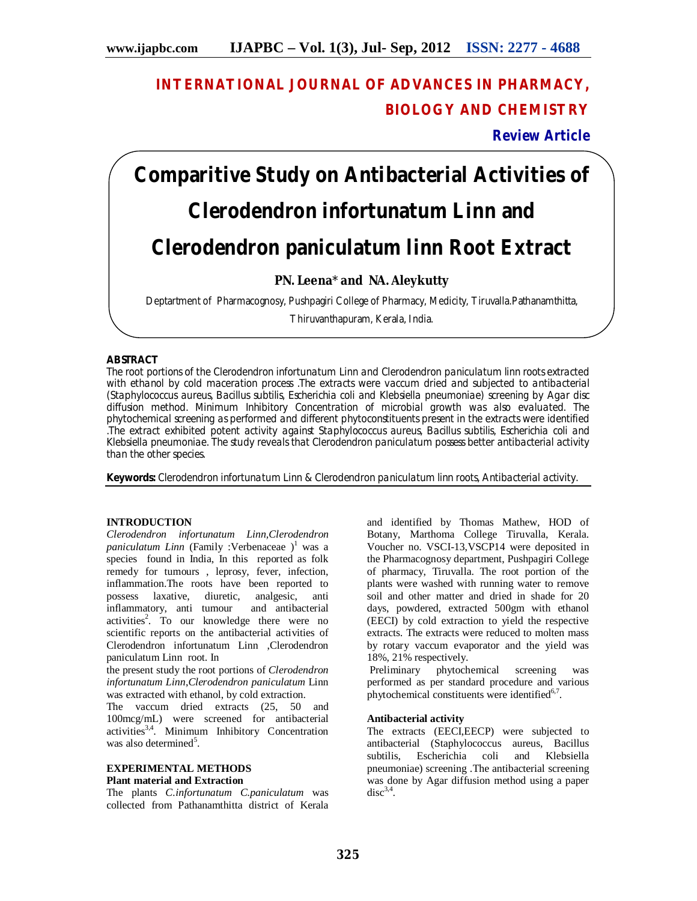# **INTERNATIONAL JOURNAL OF ADVANCES IN PHARMACY, BIOLOGY AND CHEMISTRY**

**Review Article**

# **Comparitive Study on Antibacterial Activities of**  *Clerodendron infortunatum Linn and Clerodendron paniculatum linn Root Extract*

# **PN. Leena**\* **and NA. Aleykutty**

Deptartment of Pharmacognosy, Pushpagiri College of Pharmacy, Medicity, Tiruvalla.Pathanamthitta,

Thiruvanthapuram, Kerala, India.

# **ABSTRACT**

The root portions of the Clerodendron infortunatum Linn and Clerodendron paniculatum linn roots extracted with ethanol by cold maceration process .The extracts were vaccum dried and subjected to antibacterial (Staphylococcus aureus, Bacillus subtilis, Escherichia coli and Klebsiella pneumoniae) screening by Agar disc diffusion method. Minimum Inhibitory Concentration of microbial growth was also evaluated. The phytochemical screening as performed and different phytoconstituents present in the extracts were identified .The extract exhibited potent activity against Staphylococcus aureus, Bacillus subtilis, Escherichia coli and Klebsiella pneumoniae. The study reveals that Clerodendron paniculatum possess better antibacterial activity than the other species.

**Keywords:** Clerodendron infortunatum Linn & Clerodendron paniculatum linn roots, Antibacterial activity.

# **INTRODUCTION**

*Clerodendron infortunatum Linn,Clerodendron paniculatum Linn* (Family :Verbenaceae  $)$ <sup>1</sup> was a species found in India, In this reported as folk remedy for tumours , leprosy, fever, infection, inflammation.The roots have been reported to possess laxative, diuretic, analgesic, anti inflammatory, anti tumour activities<sup>2</sup>. To our knowledge there were no scientific reports on the antibacterial activities of Clerodendron infortunatum Linn ,Clerodendron paniculatum Linn root. In

the present study the root portions of *Clerodendron infortunatum Linn*,*Clerodendron paniculatum* Linn was extracted with ethanol, by cold extraction.

The vaccum dried extracts (25, 50 and 100mcg/mL) were screened for antibacterial activities<sup>3,4</sup>. Minimum Inhibitory Concentration was also determined<sup>5</sup>.

#### **EXPERIMENTAL METHODS Plant material and Extraction**

The plants *C.infortunatum C.paniculatum* was collected from Pathanamthitta district of Kerala

and identified by Thomas Mathew, HOD of Botany, Marthoma College Tiruvalla, Kerala. Voucher no. VSCI-13,VSCP14 were deposited in the Pharmacognosy department, Pushpagiri College of pharmacy, Tiruvalla. The root portion of the plants were washed with running water to remove soil and other matter and dried in shade for 20 days, powdered, extracted 500gm with ethanol (EECI) by cold extraction to yield the respective extracts. The extracts were reduced to molten mass by rotary vaccum evaporator and the yield was 18%, 21% respectively.

Preliminary phytochemical screening was performed as per standard procedure and various phytochemical constituents were identified<sup>6,7</sup>.

# **Antibacterial activity**

The extracts (EECI,EECP) were subjected to antibacterial (Staphylococcus aureus, Bacillus subtilis, Escherichia coli and Klebsiella pneumoniae) screening .The antibacterial screening was done by Agar diffusion method using a paper  $disc^{3,4}.$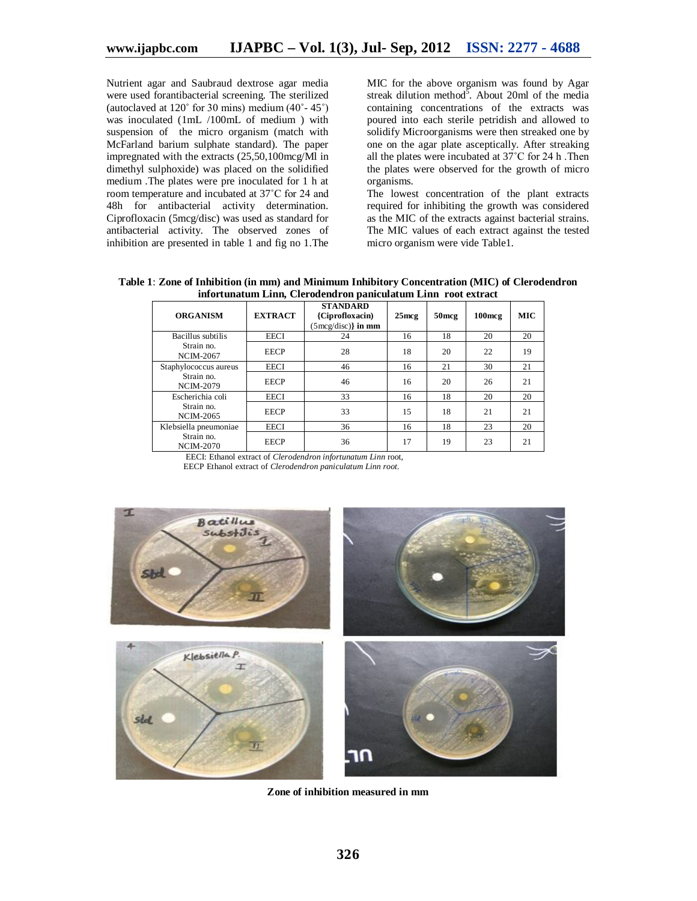Nutrient agar and Saubraud dextrose agar media were used forantibacterial screening. The sterilized (autoclaved at 120˚ for 30 mins) medium (40˚- 45˚) was inoculated (1mL /100mL of medium ) with suspension of the micro organism (match with McFarland barium sulphate standard). The paper impregnated with the extracts (25,50,100mcg/Ml in dimethyl sulphoxide) was placed on the solidified medium .The plates were pre inoculated for 1 h at room temperature and incubated at 37˚C for 24 and 48h for antibacterial activity determination. Ciprofloxacin (5mcg/disc) was used as standard for antibacterial activity. The observed zones of inhibition are presented in table 1 and fig no 1.The

MIC for the above organism was found by Agar streak dilution method<sup>5</sup>. About 20ml of the media containing concentrations of the extracts was poured into each sterile petridish and allowed to solidify Microorganisms were then streaked one by one on the agar plate asceptically. After streaking all the plates were incubated at 37˚C for 24 h .Then the plates were observed for the growth of micro organisms.

The lowest concentration of the plant extracts required for inhibiting the growth was considered as the MIC of the extracts against bacterial strains. The MIC values of each extract against the tested micro organism were vide Table1.

**Table 1**: **Zone of Inhibition (in mm) and Minimum Inhibitory Concentration (MIC) of Clerodendron infortunatum Linn, Clerodendron paniculatum Linn root extract**

| <b>ORGANISM</b>                | <b>EXTRACT</b> | <b>STANDARD</b><br>{Ciprofloxacin}<br>$(5 \text{mcg/disc})\}$ in mm | $25$ mcg | 50 <sub>mcg</sub> | $100$ mcg | <b>MIC</b> |
|--------------------------------|----------------|---------------------------------------------------------------------|----------|-------------------|-----------|------------|
| Bacillus subtilis              | <b>EECI</b>    | 24                                                                  | 16       | 18                | 20        | 20         |
| Strain no.<br><b>NCIM-2067</b> | <b>EECP</b>    | 28                                                                  | 18       | 20                | 22        | 19         |
| Staphylococcus aureus          | EECI           | 46                                                                  | 16       | 21                | 30        | 21         |
| Strain no.<br><b>NCIM-2079</b> | <b>EECP</b>    | 46                                                                  | 16       | 20                | 26        | 21         |
| Escherichia coli               | <b>EECI</b>    | 33                                                                  | 16       | 18                | 20        | 20         |
| Strain no.<br><b>NCIM-2065</b> | <b>EECP</b>    | 33                                                                  | 15       | 18                | 21        | 21         |
| Klebsiella pneumoniae          | <b>EECI</b>    | 36                                                                  | 16       | 18                | 23        | 20         |
| Strain no.<br><b>NCIM-2070</b> | <b>EECP</b>    | 36                                                                  | 17       | 19                | 23        | 21         |

EECI: Ethanol extract of *Clerodendron infortunatum Linn* root,





**Zone of inhibition measured in mm**